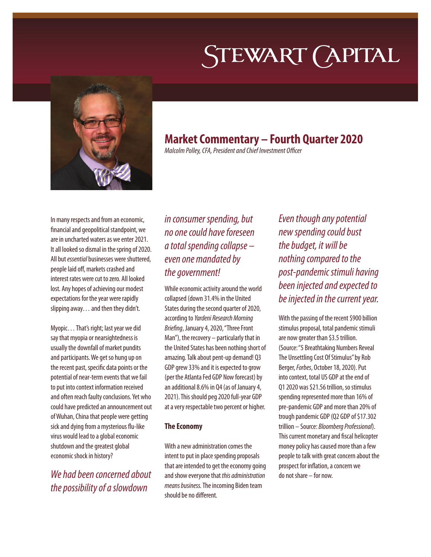# STEWART (APITAL



# **Market Commentary – Fourth Quarter 2020**

*Malcolm Polley, CFA, President and Chief Investment Officer*

In many respects and from an economic, financial and geopolitical standpoint, we are in uncharted waters as we enter 2021. It all looked so dismal in the spring of 2020. All but *essential* businesses were shuttered, people laid off, markets crashed and interest rates were cut to zero. All looked lost. Any hopes of achieving our modest expectations for the year were rapidly slipping away… and then they didn't.

Myopic… That's right; last year we did say that myopia or nearsightedness is usually the downfall of market pundits and participants. We get so hung up on the recent past, specific data points or the potential of near-term events that we fail to put into context information received and often reach faulty conclusions. Yet who could have predicted an announcement out of Wuhan, China that people were getting sick and dying from a mysterious flu-like virus would lead to a global economic shutdown and the greatest global economic shock in history?

*We had been concerned about the possibility of a slowdown* 

## *in consumer spending, but no one could have foreseen a total spending collapse – even one mandated by the government!*

While economic activity around the world collapsed (down 31.4% in the United States during the second quarter of 2020, according to *Yardeni Research Morning Briefing*, January 4, 2020, "Three Front Man"), the recovery – particularly that in the United States has been nothing short of amazing. Talk about pent-up demand! Q3 GDP grew 33% and it is expected to grow (per the Atlanta Fed GDP Now forecast) by an additional 8.6% in Q4 (as of January 4, 2021). This should peg 2020 full-year GDP at a very respectable two percent or higher.

## **The Economy**

With a new administration comes the intent to put in place spending proposals that are intended to get the economy going and show everyone that *this administration means business.* The incoming Biden team should be no different.

*Even though any potential new spending could bust the budget, it will be nothing compared to the post-pandemic stimuli having been injected and expected to be injected in the current year.*

With the passing of the recent \$900 billion stimulus proposal, total pandemic stimuli are now greater than \$3.5 trillion. (Source: "5 Breathtaking Numbers Reveal The Unsettling Cost Of Stimulus" by Rob Berger, *Forbes*, October 18, 2020). Put into context, total US GDP at the end of Q1 2020 was \$21.56 trillion, so stimulus spending represented more than 16% of pre-pandemic GDP and more than 20% of trough pandemic GDP (Q2 GDP of \$17.302 trillion – Source: *Bloomberg Professional*). This current monetary and fiscal helicopter money policy has caused more than a few people to talk with great concern about the prospect for inflation, a concern we do not share – for now.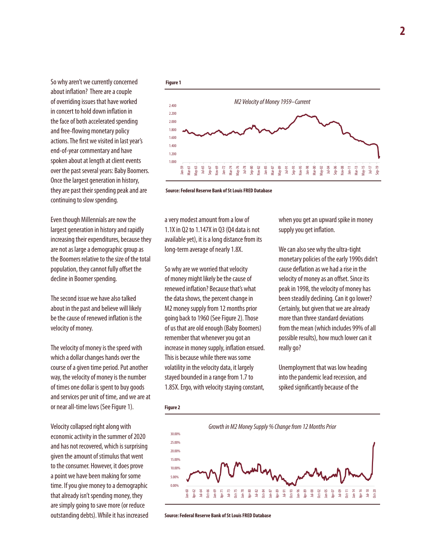So why aren't we currently concerned about inflation? There are a couple of overriding issues that have worked in concert to hold down inflation in the face of both accelerated spending and free-flowing monetary policy actions. The first we visited in last year's end-of-year commentary and have spoken about at length at client events over the past several years: Baby Boomers. Once the largest generation in history, they are past their spending peak and are continuing to slow spending.

Even though Millennials are now the largest generation in history and rapidly increasing their expenditures, because they are not as large a demographic group as the Boomers relative to the size of the total population, they cannot fully offset the decline in Boomer spending.

The second issue we have also talked about in the past and believe will likely be the cause of renewed inflation is the velocity of money.

The velocity of money is the speed with which a dollar changes hands over the course of a given time period. Put another way, the velocity of money is the number of times one dollar is spent to buy goods and services per unit of time, and we are at or near all-time lows (See Figure 1).

Velocity collapsed right along with economic activity in the summer of 2020 and has not recovered, which is surprising given the amount of stimulus that went to the consumer. However, it does prove a point we have been making for some time. If you give money to a demographic that already isn't spending money, they are simply going to save more (or reduce outstanding debts). While it has increased





**Source: Federal Reserve Bank of St Louis FRED Database**

a very modest amount from a low of 1.1X in Q2 to 1.147X in Q3 (Q4 data is not available yet), it is a long distance from its long-term average of nearly 1.8X.

So why are we worried that velocity of money might likely be the cause of renewed inflation? Because that's what the data shows, the percent change in M2 money supply from 12 months prior going back to 1960 (See Figure 2). Those of us that are old enough (Baby Boomers) remember that whenever you got an increase in money supply, inflation ensued. This is because while there was some volatility in the velocity data, it largely stayed bounded in a range from 1.7 to 1.85X. Ergo, with velocity staying constant,

when you get an upward spike in money supply you get inflation.

We can also see why the ultra-tight monetary policies of the early 1990s didn't cause deflation as we had a rise in the velocity of money as an offset. Since its peak in 1998, the velocity of money has been steadily declining. Can it go lower? Certainly, but given that we are already more than three standard deviations from the mean (which includes 99% of all possible results), how much lower can it really go?

Unemployment that was low heading into the pandemic lead recession, and spiked significantly because of the

#### **Figure 2**



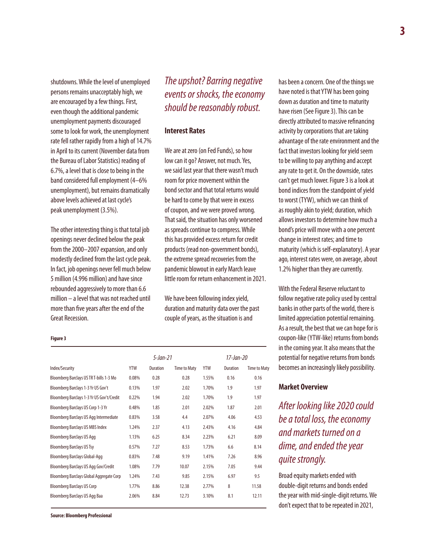shutdowns. While the level of unemployed persons remains unacceptably high, we are encouraged by a few things. First, even though the additional pandemic unemployment payments discouraged some to look for work, the unemployment rate fell rather rapidly from a high of 14.7% in April to its current (November data from the Bureau of Labor Statistics) reading of 6.7%, a level that is close to being in the band considered full employment (4–6% unemployment), but remains dramatically above levels achieved at last cycle's peak unemployment (3.5%).

The other interesting thing is that total job openings never declined below the peak from the 2000–2007 expansion, and only modestly declined from the last cycle peak. In fact, job openings never fell much below 5 million (4.996 million) and have since rebounded aggressively to more than 6.6 million – a level that was not reached until more than five years after the end of the Great Recession.

## *The upshot? Barring negative events or shocks, the economy should be reasonably robust.*

#### **Interest Rates**

We are at zero (on Fed Funds), so how low can it go? Answer, not much. Yes, we said last year that there wasn't much room for price movement within the bond sector and that total returns would be hard to come by that were in excess of coupon, and we were proved wrong. That said, the situation has only worsened as spreads continue to compress. While this has provided excess return for credit products (read non-government bonds), the extreme spread recoveries from the pandemic blowout in early March leave little room for return enhancement in 2021.

We have been following index yield, duration and maturity data over the past couple of years, as the situation is and

**Figure 3**

| Index/Security                            | 5-Jan-21   |                 |                     | 17-Jan-20  |                 |                     |
|-------------------------------------------|------------|-----------------|---------------------|------------|-----------------|---------------------|
|                                           | <b>YTW</b> | <b>Duration</b> | <b>Time to Maty</b> | <b>YTW</b> | <b>Duration</b> | <b>Time to Maty</b> |
| Bloomberg Barclays US TR T-bills 1-3 Mo   | 0.08%      | 0.28            | 0.28                | 1.55%      | 0.16            | 0.16                |
| Bloomberg Barclays 1-3 Yr US Gov't        | 0.13%      | 1.97            | 2.02                | 1.70%      | 1.9             | 1.97                |
| Bloomberg Barclays 1-3 Yr US Gov't/Credit | 0.22%      | 1.94            | 2.02                | 1.70%      | 1.9             | 1.97                |
| Bloomberg Barclays US Corp 1-3 Yr         | 0.48%      | 1.85            | 2.01                | 2.02%      | 1.87            | 2.01                |
| Bloomberg Barclays US Agg Intermediate    | 0.83%      | 3.58            | 4.4                 | 2.07%      | 4.06            | 4.53                |
| <b>Bloomberg Barclays US MBS Index</b>    | 1.24%      | 2.37            | 4.13                | 2.43%      | 4.16            | 4.84                |
| <b>Bloomberg Barclays US Agg</b>          | 1.13%      | 6.25            | 8.34                | 2.23%      | 6.21            | 8.09                |
| <b>Bloomberg Barclays US Tsy</b>          | 0.57%      | 7.27            | 8.53                | 1.73%      | 6.6             | 8.14                |
| Bloomberg Barclays Global-Agg             | 0.83%      | 7.48            | 9.19                | 1.41%      | 7.26            | 8.96                |
| Bloomberg Barclays US Agg Gov/Credit      | 1.08%      | 7.79            | 10.07               | 2.15%      | 7.05            | 9.44                |
| Bloomberg Barclays Global Aggregate Corp  | 1.24%      | 7.43            | 9.85                | 2.15%      | 6.97            | 9.5                 |
| <b>Bloomberg Barclays US Corp</b>         | 1.77%      | 8.86            | 12.38               | 2.77%      | 8               | 11.58               |
| Bloomberg Barclays US Agg Baa             | 2.06%      | 8.84            | 12.73               | 3.10%      | 8.1             | 12.11               |

**Source: Bloomberg Professional**

has been a concern. One of the things we have noted is that YTW has been going down as duration and time to maturity have risen (See Figure 3). This can be directly attributed to massive refinancing activity by corporations that are taking advantage of the rate environment and the fact that investors looking for yield seem to be willing to pay anything and accept any rate to get it. On the downside, rates can't get much lower. Figure 3 is a look at bond indices from the standpoint of yield to worst (TYW), which we can think of as roughly akin to yield; duration, which allows investors to determine how much a bond's price will move with a one percent change in interest rates; and time to maturity (which is self-explanatory). A year ago, interest rates were, on average, about 1.2% higher than they are currently.

With the Federal Reserve reluctant to follow negative rate policy used by central banks in other parts of the world, there is limited appreciation potential remaining. As a result, the best that we can hope for is coupon-like (YTW-like) returns from bonds in the coming year. It also means that the potential for negative returns from bonds becomes an increasingly likely possibility.

#### **Market Overview**

*After looking like 2020 could be a total loss, the economy and markets turned on a dime, and ended the year quite strongly.*

Broad equity markets ended with double-digit returns and bonds ended the year with mid-single-digit returns. We don't expect that to be repeated in 2021,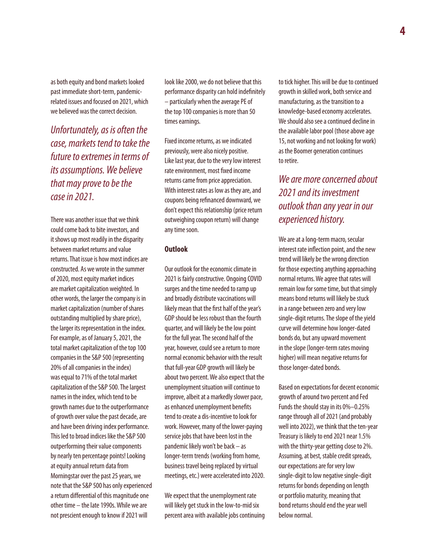as both equity and bond markets looked past immediate short-term, pandemicrelated issues and focused on 2021, which we believed was the correct decision.

*Unfortunately, as is often the case, markets tend to take the future to extremes in terms of its assumptions. We believe that may prove to be the case in 2021.*

There was another issue that we think could come back to bite investors, and it shows up most readily in the disparity between market returns and value returns. That issue is how most indices are constructed. As we wrote in the summer of 2020, most equity market indices are market capitalization weighted. In other words, the larger the company is in market capitalization (number of shares outstanding multiplied by share price), the larger its representation in the index. For example, as of January 5, 2021, the total market capitalization of the top 100 companies in the S&P 500 (representing 20% of all companies in the index) was equal to 71% of the total market capitalization of the S&P 500. The largest names in the index, which tend to be growth names due to the outperformance of growth over value the past decade, are and have been driving index performance. This led to broad indices like the S&P 500 outperforming their value components by nearly ten percentage points! Looking at equity annual return data from Morningstar over the past 25 years, we note that the S&P 500 has only experienced a return differential of this magnitude one other time – the late 1990s. While we are not prescient enough to know if 2021 will

look like 2000, we do not believe that this performance disparity can hold indefinitely – particularly when the average PE of the top 100 companies is more than 50 times earnings.

Fixed income returns, as we indicated previously, were also nicely positive. Like last year, due to the very low interest rate environment, most fixed income returns came from price appreciation. With interest rates as low as they are, and coupons being refinanced downward, we don't expect this relationship (price return outweighing coupon return) will change any time soon.

### **Outlook**

Our outlook for the economic climate in 2021 is fairly constructive. Ongoing COVID surges and the time needed to ramp up and broadly distribute vaccinations will likely mean that the first half of the year's GDP should be less robust than the fourth quarter, and will likely be the low point for the full year. The second half of the year, however, could see a return to more normal economic behavior with the result that full-year GDP growth will likely be about two percent. We also expect that the unemployment situation will continue to improve, albeit at a markedly slower pace, as enhanced unemployment benefits tend to create a dis-incentive to look for work. However, many of the lower-paying service jobs that have been lost in the pandemic likely won't be back – as longer-term trends (working from home, business travel being replaced by virtual meetings, etc.) were accelerated into 2020.

We expect that the unemployment rate will likely get stuck in the low-to-mid six percent area with available jobs continuing to tick higher. This will be due to continued growth in skilled work, both service and manufacturing, as the transition to a knowledge-based economy accelerates. We should also see a continued decline in the available labor pool (those above age 15, not working and not looking for work) as the Boomer generation continues to retire.

## *We are more concerned about 2021 and its investment outlook than any year in our experienced history.*

We are at a long-term macro, secular interest rate inflection point, and the new trend will likely be the wrong direction for those expecting anything approaching normal returns. We agree that rates will remain low for some time, but that simply means bond returns will likely be stuck in a range between zero and very low single-digit returns. The slope of the yield curve will determine how longer-dated bonds do, but any upward movement in the slope (longer-term rates moving higher) will mean negative returns for those longer-dated bonds.

Based on expectations for decent economic growth of around two percent and Fed Funds the should stay in its 0%–0.25% range through all of 2021 (and probably well into 2022), we think that the ten-year Treasury is likely to end 2021 near 1.5% with the thirty-year getting close to 2%. Assuming, at best, stable credit spreads, our expectations are for very low single-digit to low negative single-digit returns for bonds depending on length or portfolio maturity, meaning that bond returns should end the year well below normal.